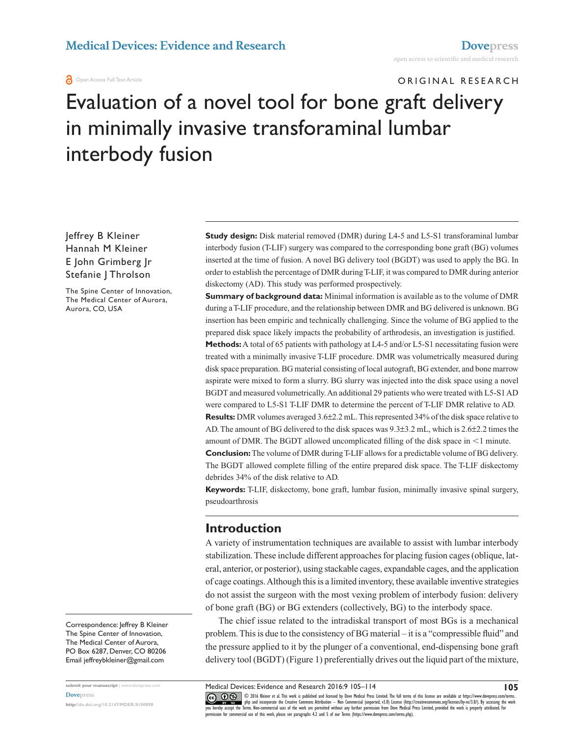ORIGINAL RESEARCH

# Evaluation of a novel tool for bone graft delivery in minimally invasive transforaminal lumbar interbody fusion

Jeffrey B Kleiner Hannah M Kleiner E John Grimberg Jr Stefanie J Throlson

The Spine Center of Innovation, The Medical Center of Aurora, Aurora, CO, USA

Correspondence: Jeffrey B Kleiner The Spine Center of Innovation, The Medical Center of Aurora, PO Box 6287, Denver, CO 80206 Email [jeffreybkleiner@gmail.com](mailto:jeffreybkleiner@gmail.com)

**submit your manuscript** | <www.dovepress.com> **[Dovepress](www.dovepress.com)** 

**<http://dx.doi.org/10.2147/MDER.S100098>**

**Study design:** Disk material removed (DMR) during L4-5 and L5-S1 transforaminal lumbar interbody fusion (T-LIF) surgery was compared to the corresponding bone graft (BG) volumes inserted at the time of fusion. A novel BG delivery tool (BGDT) was used to apply the BG. In order to establish the percentage of DMR during T-LIF, it was compared to DMR during anterior diskectomy (AD). This study was performed prospectively.

**Summary of background data:** Minimal information is available as to the volume of DMR during a T-LIF procedure, and the relationship between DMR and BG delivered is unknown. BG insertion has been empiric and technically challenging. Since the volume of BG applied to the prepared disk space likely impacts the probability of arthrodesis, an investigation is justified.

**Methods:** A total of 65 patients with pathology at L4-5 and/or L5-S1 necessitating fusion were treated with a minimally invasive T-LIF procedure. DMR was volumetrically measured during disk space preparation. BG material consisting of local autograft, BG extender, and bone marrow aspirate were mixed to form a slurry. BG slurry was injected into the disk space using a novel BGDT and measured volumetrically. An additional 29 patients who were treated with L5-S1 AD were compared to L5-S1 T-LIF DMR to determine the percent of T-LIF DMR relative to AD.

**Results:** DMR volumes averaged 3.6±2.2 mL. This represented 34% of the disk space relative to AD. The amount of BG delivered to the disk spaces was 9.3±3.2 mL, which is 2.6±2.2 times the amount of DMR. The BGDT allowed uncomplicated filling of the disk space in  $\leq 1$  minute.

**Conclusion:** The volume of DMR during T-LIF allows for a predictable volume of BG delivery. The BGDT allowed complete filling of the entire prepared disk space. The T-LIF diskectomy debrides 34% of the disk relative to AD.

**Keywords:** T-LIF, diskectomy, bone graft, lumbar fusion, minimally invasive spinal surgery, pseudoarthrosis

## **Introduction**

A variety of instrumentation techniques are available to assist with lumbar interbody stabilization. These include different approaches for placing fusion cages (oblique, lateral, anterior, or posterior), using stackable cages, expandable cages, and the application of cage coatings. Although this is a limited inventory, these available inventive strategies do not assist the surgeon with the most vexing problem of interbody fusion: delivery of bone graft (BG) or BG extenders (collectively, BG) to the interbody space.

The chief issue related to the intradiskal transport of most BGs is a mechanical problem. This is due to the consistency of BG material – it is a "compressible fluid" and the pressure applied to it by the plunger of a conventional, end-dispensing bone graft delivery tool (BGDT) (Figure 1) preferentially drives out the liquid part of the mixture,

CC 168 © 2016 Kleiner et al. This work is published and licensed by Dove Medical Press Limited. The full terms of this license are available at https://www.dovepress.com/terms External [php](https://www.dovepress.com/terms.php) and incorporate the Creative Commons Attribution — Non Commercial (unported, v3.0) License (http://creativecommons.org/license/by-nc/3.0/). By accessing the work<br>[you hereby accept the T](http://www.dovepress.com/permissions.php)erms. Non-commercial use

Medical Devices: Evidence and Research 2016:9 105–114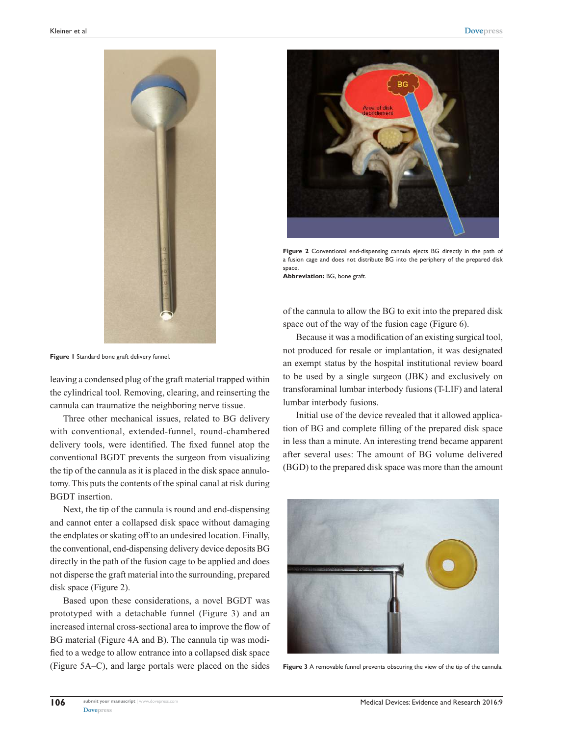

**Figure 1** Standard bone graft delivery funnel.

leaving a condensed plug of the graft material trapped within the cylindrical tool. Removing, clearing, and reinserting the cannula can traumatize the neighboring nerve tissue.

Three other mechanical issues, related to BG delivery with conventional, extended-funnel, round-chambered delivery tools, were identified. The fixed funnel atop the conventional BGDT prevents the surgeon from visualizing the tip of the cannula as it is placed in the disk space annulotomy. This puts the contents of the spinal canal at risk during BGDT insertion.

Next, the tip of the cannula is round and end-dispensing and cannot enter a collapsed disk space without damaging the endplates or skating off to an undesired location. Finally, the conventional, end-dispensing delivery device deposits BG directly in the path of the fusion cage to be applied and does not disperse the graft material into the surrounding, prepared disk space (Figure 2).

Based upon these considerations, a novel BGDT was prototyped with a detachable funnel (Figure 3) and an increased internal cross-sectional area to improve the flow of BG material (Figure 4A and B). The cannula tip was modified to a wedge to allow entrance into a collapsed disk space (Figure 5A–C), and large portals were placed on the sides



Figure 2 Conventional end-dispensing cannula ejects BG directly in the path of a fusion cage and does not distribute BG into the periphery of the prepared disk space. **Abbreviation:** BG, bone graft.

of the cannula to allow the BG to exit into the prepared disk space out of the way of the fusion cage (Figure 6).

Because it was a modification of an existing surgical tool, not produced for resale or implantation, it was designated an exempt status by the hospital institutional review board to be used by a single surgeon (JBK) and exclusively on transforaminal lumbar interbody fusions (T-LIF) and lateral lumbar interbody fusions.

Initial use of the device revealed that it allowed application of BG and complete filling of the prepared disk space in less than a minute. An interesting trend became apparent after several uses: The amount of BG volume delivered (BGD) to the prepared disk space was more than the amount



Figure 3 A removable funnel prevents obscuring the view of the tip of the cannula.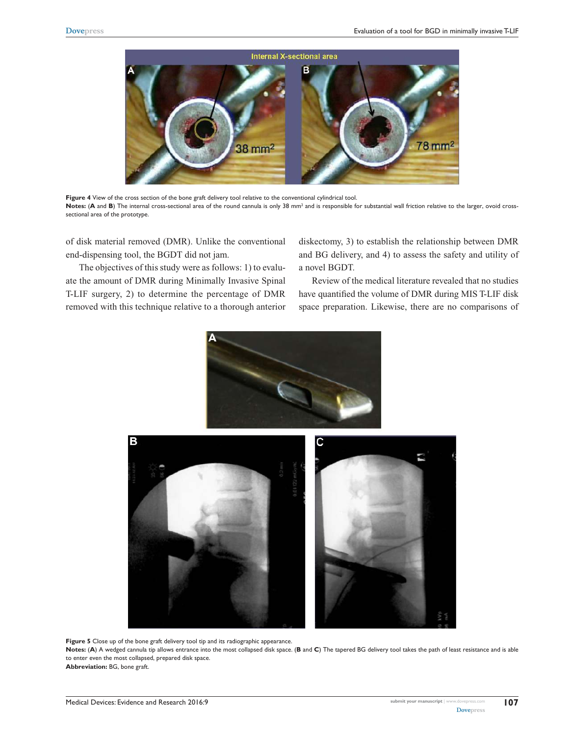

Figure 4 View of the cross section of the bone graft delivery tool relative to the conventional cylindrical tool. Notes: (A and B) The internal cross-sectional area of the round cannula is only 38 mm<sup>2</sup> and is responsible for substantial wall friction relative to the larger, ovoid crosssectional area of the prototype.

of disk material removed (DMR). Unlike the conventional end-dispensing tool, the BGDT did not jam.

The objectives of this study were as follows: 1) to evaluate the amount of DMR during Minimally Invasive Spinal T-LIF surgery, 2) to determine the percentage of DMR removed with this technique relative to a thorough anterior

diskectomy, 3) to establish the relationship between DMR and BG delivery, and 4) to assess the safety and utility of a novel BGDT.

Review of the medical literature revealed that no studies have quantified the volume of DMR during MIS T-LIF disk space preparation. Likewise, there are no comparisons of





**Figure 5** Close up of the bone graft delivery tool tip and its radiographic appearance.

**Notes:** (**A**) A wedged cannula tip allows entrance into the most collapsed disk space. (**B** and **C**) The tapered BG delivery tool takes the path of least resistance and is able to enter even the most collapsed, prepared disk space.

**Abbreviation:** BG, bone graft.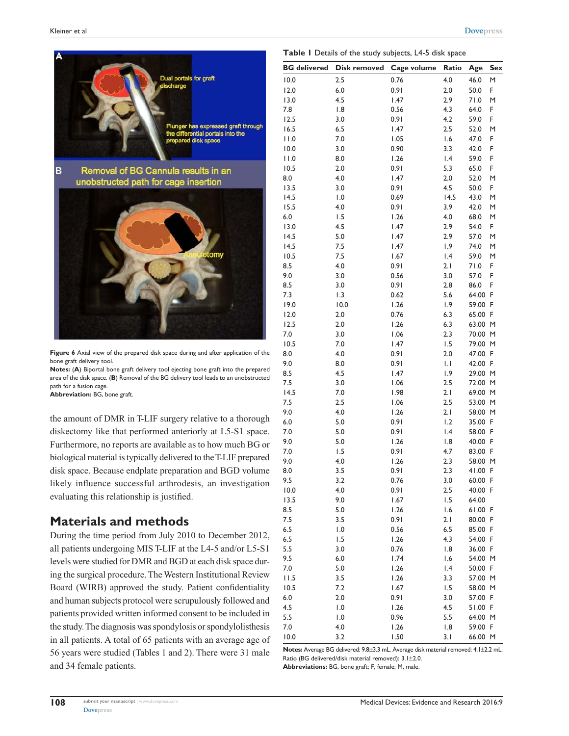

**Figure 6** Axial view of the prepared disk space during and after application of the bone graft delivery tool.

**Notes:** (**A**) Biportal bone graft delivery tool ejecting bone graft into the prepared area of the disk space. (**B**) Removal of the BG delivery tool leads to an unobstructed path for a fusion cage.

**Abbreviation:** BG, bone graft.

the amount of DMR in T-LIF surgery relative to a thorough diskectomy like that performed anteriorly at L5-S1 space. Furthermore, no reports are available as to how much BG or biological material is typically delivered to the T-LIF prepared disk space. Because endplate preparation and BGD volume likely influence successful arthrodesis, an investigation evaluating this relationship is justified.

# **Materials and methods**

During the time period from July 2010 to December 2012, all patients undergoing MIS T-LIF at the L4-5 and/or L5-S1 levels were studied for DMR and BGD at each disk space during the surgical procedure. The Western Institutional Review Board (WIRB) approved the study. Patient confidentiality and human subjects protocol were scrupulously followed and patients provided written informed consent to be included in the study. The diagnosis was spondylosis or spondylolisthesis in all patients. A total of 65 patients with an average age of 56 years were studied (Tables 1 and 2). There were 31 male and 34 female patients.

| <b>BG</b> delivered | <b>Disk removed</b> | Cage volume  | Ratio           | Age                | Sex |
|---------------------|---------------------|--------------|-----------------|--------------------|-----|
| 10.0                | 2.5                 | 0.76         | 4.0             | 46.0               | М   |
| 12.0                | $6.0\,$             | 0.91         | 2.0             | 50.0               | F   |
| 13.0                | 4.5                 | 1.47         | 2.9             | 71.0               | M   |
| 7.8                 | 1.8                 | 0.56         | 4.3             | 64.0               | F   |
| 12.5                | 3.0                 | 0.91         | 4.2             | 59.0               | F   |
| 16.5                | 6.5                 | 1.47         | 2.5             | 52.0               | М   |
| 11.0                | 7.0                 | 1.05         | 1.6             | 47.0               | F   |
| 10.0                | 3.0                 | 0.90         | 3.3             | 42.0               | F   |
| 11.0                | 8.0                 | 1.26         | $\mathsf{I}$ .4 | 59.0               | F   |
| 10.5                | 2.0                 | 0.91         | 5.3             | 65.0               | F   |
| 8.0                 | 4.0                 | 1.47         | 2.0             | 52.0               | M   |
| 13.5                | 3.0                 | 0.91         | 4.5             | 50.0               | F   |
| 14.5                | 0.1                 | 0.69         | 14.5            | 43.0               | М   |
| 15.5                | 4.0                 | 0.91         | 3.9             | 42.0               | M   |
| 6.0                 | 1.5                 | 1.26         | 4.0             | 68.0               | М   |
| 13.0                | 4.5                 | 1.47         | 2.9             | 54.0               | F   |
| 14.5                | 5.0                 | 1.47         | 2.9             | 57.0               | M   |
| 14.5                | 7.5                 | 1.47         | 1.9             | 74.0               | M   |
| 10.5                | 7.5                 | 1.67         | 1.4             | 59.0               | М   |
| 8.5                 | 4.0                 | 0.91         | 2.1             | 71.0               | F   |
| 9.0                 | 3.0                 | 0.56         | 3.0             | 57.0               | F   |
| 8.5                 | 3.0                 | 0.91         | 2.8             | 86.0               | F   |
| 7.3                 | 1.3                 | 0.62         | 5.6             | 64.00              | F   |
| 19.0                | 10.0                | 1.26         | 1.9             | 59.00 F            |     |
| 12.0                | 2.0                 | 0.76         | 6.3             | 65.00 F            |     |
| 12.5                | 2.0                 | 1.26         | 6.3             | 63.00 M            |     |
| 7.0                 | 3.0                 | 1.06         | 2.3             | 70.00 M            |     |
| 10.5                | 7.0                 | 1.47         | 1.5             | 79.00 M            |     |
| 8.0                 | 4.0                 | 0.91         | 2.0             | 47.00 F            |     |
| 9.0                 | 8.0                 | 0.91         | IJ              | 42.00 F            |     |
| 8.5                 | 4.5                 | 1.47         | 1.9             | 29.00 M            |     |
| 7.5                 | 3.0                 | 1.06         | 2.5             | 72.00 M            |     |
| 14.5                | 7.0                 | 1.98         | 2.1             | 69.00              | M   |
| 7.5<br>9.0          | 2.5<br>4.0          | 1.06<br>1.26 | 2.5<br>2.1      | 53.00 M            |     |
| 6.0                 | 5.0                 | 0.91         | 1.2             | 58.00 M<br>35.00 F |     |
| 7.0                 | 5.0                 | 0.91         | $\mathsf{I}$ .4 | 58.00 F            |     |
| 9.0                 | 5.0                 | 1.26         | 1.8             | 40.00 F            |     |
| 7.0                 | 1.5                 | 0.91         | 4.7             | 83.00 F            |     |
| 9.0                 | 4.0                 | 1.26         | 2.3             | 58.00 M            |     |
| 8.0                 | 3.5                 | 0.91         | 2.3             | 41.00              | F   |
| 9.5                 | 3.2                 | 0.76         | 3.0             | 60.00 F            |     |
| 10.0                | 4.0                 | 0.91         | 2.5             | 40.00 F            |     |
| 13.5                | 9.0                 | 1.67         | 1.5             | 64.00              |     |
| 8.5                 | 5.0                 | 1.26         | 1.6             | 61.00 F            |     |
| 7.5                 | 3.5                 | 0.91         | 2.1             | 80.00              | -F  |
| 6.5                 | 1.0                 | 0.56         | 6.5             | 85.00 F            |     |
| 6.5                 | 1.5                 | 1.26         | 4.3             | 54.00 F            |     |
| 5.5                 | 3.0                 | 0.76         | 1.8             | 36.00              | F   |
| 9.5                 | 6.0                 | 1.74         | 1.6             | 54.00 M            |     |
| 7.0                 | 5.0                 | 1.26         | $\mathsf{I}$ .4 | 50.00              | -F  |
| 11.5                | 3.5                 | 1.26         | 3.3             | 57.00 M            |     |
| 10.5                | 7.2                 | 1.67         | 1.5             | 58.00              | M   |
| 6.0                 | 2.0                 | 0.91         | 3.0             | 57.00              | F   |
| 4.5                 | 1.0                 | 1.26         | 4.5             | 51.00              | F   |
| 5.5                 | 1.0                 | 0.96         | 5.5             | 64.00 M            |     |
| 7.0                 | 4.0                 | 1.26         | 1.8             | 59.00              | F   |
| 10.0                | 3.2                 | 1.50         | 3.1             | 66.00              | M   |

**Table 1** Details of the study subjects, L4-5 disk space

**Notes:** Average BG delivered: 9.8±3.3 mL. Average disk material removed: 4.1±2.2 mL. Ratio (BG delivered/disk material removed): 3.1±2.0. **Abbreviations:** BG, bone graft; F, female; M, male.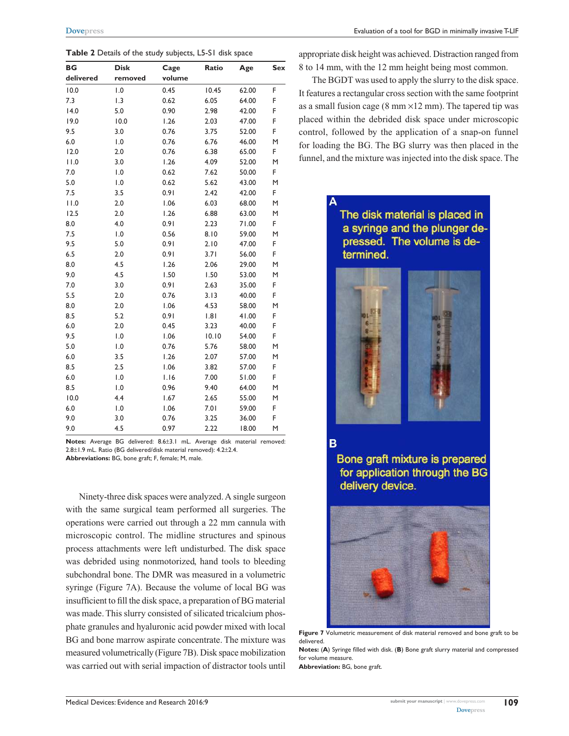| Table 2 Details of the study subjects, L5-S1 disk space |  |  |
|---------------------------------------------------------|--|--|
|---------------------------------------------------------|--|--|

| BG        | <b>Disk</b> | Cage   | Ratio | Age   | <b>Sex</b> |
|-----------|-------------|--------|-------|-------|------------|
| delivered | removed     | volume |       |       |            |
| 10.0      | 0.1         | 0.45   | 10.45 | 62.00 | F          |
| 7.3       | 1.3         | 0.62   | 6.05  | 64.00 | F          |
| 14.0      | 5.0         | 0.90   | 2.98  | 42.00 | F          |
| 19.0      | 10.0        | 1.26   | 2.03  | 47.00 | F          |
| 9.5       | 3.0         | 0.76   | 3.75  | 52.00 | F.         |
| 6.0       | 1.0         | 0.76   | 6.76  | 46.00 | M          |
| 12.0      | 2.0         | 0.76   | 6.38  | 65.00 | F.         |
| 11.0      | 3.0         | 1.26   | 4.09  | 52.00 | M          |
| 7.0       | 0.1         | 0.62   | 7.62  | 50.00 | F          |
| 5.0       | 1.0         | 0.62   | 5.62  | 43.00 | M          |
| 7.5       | 3.5         | 0.91   | 2.42  | 42.00 | F          |
| 11.0      | 2.0         | 1.06   | 6.03  | 68.00 | M          |
| 12.5      | 2.0         | 1.26   | 6.88  | 63.00 | M          |
| 8.0       | 4.0         | 0.91   | 2.23  | 71.00 | F          |
| 7.5       | 0.1         | 0.56   | 8.10  | 59.00 | M          |
| 9.5       | 5.0         | 0.91   | 2.10  | 47.00 | F          |
| 6.5       | 2.0         | 0.91   | 3.71  | 56.00 | F.         |
| 8.0       | 4.5         | 1.26   | 2.06  | 29.00 | M          |
| 9.0       | 4.5         | 1.50   | 1.50  | 53.00 | M          |
| 7.0       | 3.0         | 0.91   | 2.63  | 35.00 | F.         |
| 5.5       | 2.0         | 0.76   | 3.13  | 40.00 | F          |
| 8.0       | 2.0         | 1.06   | 4.53  | 58.00 | M          |
| 8.5       | 5.2         | 0.91   | 1.81  | 41.00 | F.         |
| 6.0       | 2.0         | 0.45   | 3.23  | 40.00 | F          |
| 9.5       | 1.0         | 1.06   | 10.10 | 54.00 | F.         |
| 5.0       | 1.0         | 0.76   | 5.76  | 58.00 | M          |
| 6.0       | 3.5         | 1.26   | 2.07  | 57.00 | M          |
| 8.5       | 2.5         | 1.06   | 3.82  | 57.00 | F          |
| 6.0       | 0.1         | 1.16   | 7.00  | 51.00 | F          |
| 8.5       | 1.0         | 0.96   | 9.40  | 64.00 | M          |
| 10.0      | 4.4         | 1.67   | 2.65  | 55.00 | M          |
| 6.0       | 0.1         | 1.06   | 7.01  | 59.00 | F.         |
| 9.0       | 3.0         | 0.76   | 3.25  | 36.00 | F          |
| 9.0       | 4.5         | 0.97   | 2.22  | 18.00 | M          |

**Notes:** Average BG delivered: 8.6±3.1 mL. Average disk material removed: 2.8±1.9 mL. Ratio (BG delivered/disk material removed): 4.2±2.4. **Abbreviations:** BG, bone graft; F, female; M, male.

Ninety-three disk spaces were analyzed. A single surgeon with the same surgical team performed all surgeries. The operations were carried out through a 22 mm cannula with microscopic control. The midline structures and spinous process attachments were left undisturbed. The disk space was debrided using nonmotorized, hand tools to bleeding subchondral bone. The DMR was measured in a volumetric syringe (Figure 7A). Because the volume of local BG was insufficient to fill the disk space, a preparation of BG material was made. This slurry consisted of silicated tricalcium phosphate granules and hyaluronic acid powder mixed with local BG and bone marrow aspirate concentrate. The mixture was measured volumetrically (Figure 7B). Disk space mobilization was carried out with serial impaction of distractor tools until

appropriate disk height was achieved. Distraction ranged from 8 to 14 mm, with the 12 mm height being most common.

The BGDT was used to apply the slurry to the disk space. It features a rectangular cross section with the same footprint as a small fusion cage (8 mm  $\times$ 12 mm). The tapered tip was placed within the debrided disk space under microscopic control, followed by the application of a snap-on funnel for loading the BG. The BG slurry was then placed in the funnel, and the mixture was injected into the disk space. The

> The disk material is placed in a syringe and the plunger depressed. The volume is determined.



B

Bone graft mixture is prepared for application through the BG delivery device.



Figure 7 Volumetric measurement of disk material removed and bone graft to be delivered.

**Notes:** (**A**) Syringe filled with disk. (**B**) Bone graft slurry material and compressed for volume measure.

**Abbreviation:** BG, bone graft.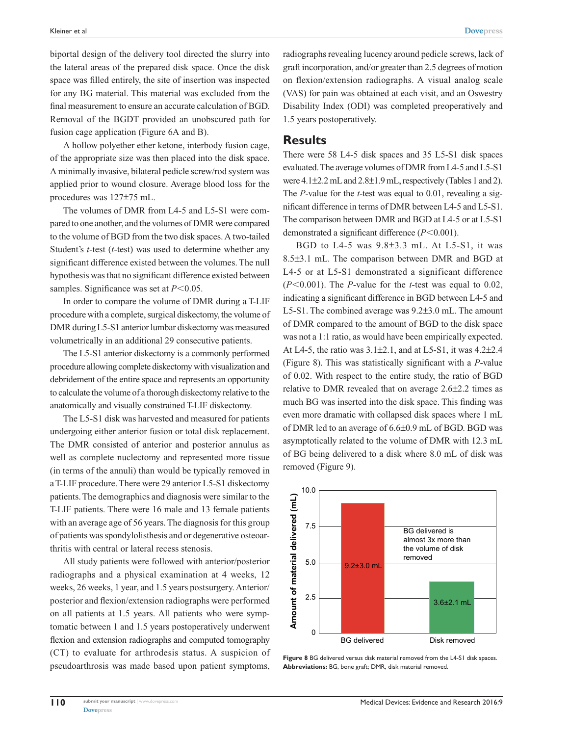biportal design of the delivery tool directed the slurry into the lateral areas of the prepared disk space. Once the disk space was filled entirely, the site of insertion was inspected for any BG material. This material was excluded from the final measurement to ensure an accurate calculation of BGD. Removal of the BGDT provided an unobscured path for fusion cage application (Figure 6A and B).

A hollow polyether ether ketone, interbody fusion cage, of the appropriate size was then placed into the disk space. A minimally invasive, bilateral pedicle screw/rod system was applied prior to wound closure. Average blood loss for the procedures was 127±75 mL.

The volumes of DMR from L4-5 and L5-S1 were compared to one another, and the volumes of DMR were compared to the volume of BGD from the two disk spaces. A two-tailed Student's *t*-test (*t*-test) was used to determine whether any significant difference existed between the volumes. The null hypothesis was that no significant difference existed between samples. Significance was set at  $P<0.05$ .

In order to compare the volume of DMR during a T-LIF procedure with a complete, surgical diskectomy, the volume of DMR during L5-S1 anterior lumbar diskectomy was measured volumetrically in an additional 29 consecutive patients.

The L5-S1 anterior diskectomy is a commonly performed procedure allowing complete diskectomy with visualization and debridement of the entire space and represents an opportunity to calculate the volume of a thorough diskectomy relative to the anatomically and visually constrained T-LIF diskectomy.

The L5-S1 disk was harvested and measured for patients undergoing either anterior fusion or total disk replacement. The DMR consisted of anterior and posterior annulus as well as complete nuclectomy and represented more tissue (in terms of the annuli) than would be typically removed in a T-LIF procedure. There were 29 anterior L5-S1 diskectomy patients. The demographics and diagnosis were similar to the T-LIF patients. There were 16 male and 13 female patients with an average age of 56 years. The diagnosis for this group of patients was spondylolisthesis and or degenerative osteoarthritis with central or lateral recess stenosis.

All study patients were followed with anterior/posterior radiographs and a physical examination at 4 weeks, 12 weeks, 26 weeks, 1 year, and 1.5 years postsurgery. Anterior/ posterior and flexion/extension radiographs were performed on all patients at 1.5 years. All patients who were symptomatic between 1 and 1.5 years postoperatively underwent flexion and extension radiographs and computed tomography (CT) to evaluate for arthrodesis status. A suspicion of pseudoarthrosis was made based upon patient symptoms, radiographs revealing lucency around pedicle screws, lack of graft incorporation, and/or greater than 2.5 degrees of motion on flexion/extension radiographs. A visual analog scale (VAS) for pain was obtained at each visit, and an Oswestry Disability Index (ODI) was completed preoperatively and 1.5 years postoperatively.

#### **Results**

There were 58 L4-5 disk spaces and 35 L5-S1 disk spaces evaluated. The average volumes of DMR from L4-5 and L5-S1 were 4.1±2.2 mL and 2.8±1.9 mL, respectively (Tables 1 and 2). The *P*-value for the *t*-test was equal to 0.01, revealing a significant difference in terms of DMR between L4-5 and L5-S1. The comparison between DMR and BGD at L4-5 or at L5-S1 demonstrated a significant difference  $(P<0.001)$ .

BGD to L4-5 was 9.8±3.3 mL. At L5-S1, it was 8.5±3.1 mL. The comparison between DMR and BGD at L4-5 or at L5-S1 demonstrated a significant difference  $(P<0.001)$ . The *P*-value for the *t*-test was equal to 0.02, indicating a significant difference in BGD between L4-5 and L5-S1. The combined average was 9.2±3.0 mL. The amount of DMR compared to the amount of BGD to the disk space was not a 1:1 ratio, as would have been empirically expected. At L4-5, the ratio was 3.1±2.1, and at L5-S1, it was 4.2±2.4 (Figure 8). This was statistically significant with a *P*-value of 0.02. With respect to the entire study, the ratio of BGD relative to DMR revealed that on average 2.6±2.2 times as much BG was inserted into the disk space. This finding was even more dramatic with collapsed disk spaces where 1 mL of DMR led to an average of 6.6±0.9 mL of BGD. BGD was asymptotically related to the volume of DMR with 12.3 mL of BG being delivered to a disk where 8.0 mL of disk was removed (Figure 9).



**Figure 8** BG delivered versus disk material removed from the L4-S1 disk spaces. **Abbreviations:** BG, bone graft; DMR, disk material removed.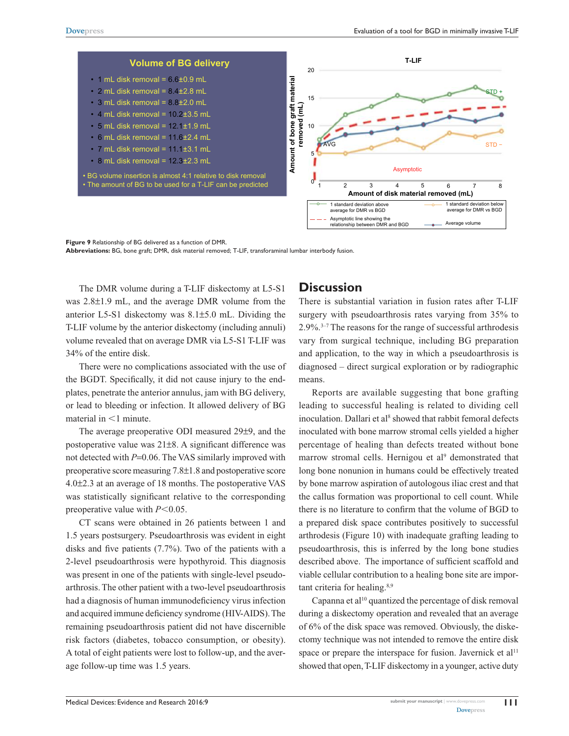

**Figure 9** Relationship of BG delivered as a function of DMR. **Abbreviations:** BG, bone graft; DMR, disk material removed; T-LIF, transforaminal lumbar interbody fusion.

The DMR volume during a T-LIF diskectomy at L5-S1 was 2.8±1.9 mL, and the average DMR volume from the anterior L5-S1 diskectomy was 8.1±5.0 mL. Dividing the T-LIF volume by the anterior diskectomy (including annuli) volume revealed that on average DMR via L5-S1 T-LIF was 34% of the entire disk.

There were no complications associated with the use of the BGDT. Specifically, it did not cause injury to the endplates, penetrate the anterior annulus, jam with BG delivery, or lead to bleeding or infection. It allowed delivery of BG material in  $\leq$ 1 minute.

The average preoperative ODI measured 29±9, and the postoperative value was 21±8. A significant difference was not detected with *P*=0.06. The VAS similarly improved with preoperative score measuring 7.8±1.8 and postoperative score 4.0±2.3 at an average of 18 months. The postoperative VAS was statistically significant relative to the corresponding preoperative value with  $P<0.05$ .

CT scans were obtained in 26 patients between 1 and 1.5 years postsurgery. Pseudoarthrosis was evident in eight disks and five patients (7.7%). Two of the patients with a 2-level pseudoarthrosis were hypothyroid. This diagnosis was present in one of the patients with single-level pseudoarthrosis. The other patient with a two-level pseudoarthrosis had a diagnosis of human immunodeficiency virus infection and acquired immune deficiency syndrome (HIV-AIDS). The remaining pseudoarthrosis patient did not have discernible risk factors (diabetes, tobacco consumption, or obesity). A total of eight patients were lost to follow-up, and the average follow-up time was 1.5 years.

### **Discussion**

There is substantial variation in fusion rates after T-LIF surgery with pseudoarthrosis rates varying from 35% to 2.9%.3–7 The reasons for the range of successful arthrodesis vary from surgical technique, including BG preparation and application, to the way in which a pseudoarthrosis is diagnosed – direct surgical exploration or by radiographic means.

Reports are available suggesting that bone grafting leading to successful healing is related to dividing cell inoculation. Dallari et al<sup>8</sup> showed that rabbit femoral defects inoculated with bone marrow stromal cells yielded a higher percentage of healing than defects treated without bone marrow stromal cells. Hernigou et al<sup>9</sup> demonstrated that long bone nonunion in humans could be effectively treated by bone marrow aspiration of autologous iliac crest and that the callus formation was proportional to cell count. While there is no literature to confirm that the volume of BGD to a prepared disk space contributes positively to successful arthrodesis (Figure 10) with inadequate grafting leading to pseudoarthrosis, this is inferred by the long bone studies described above. The importance of sufficient scaffold and viable cellular contribution to a healing bone site are important criteria for healing.<sup>8,9</sup>

Capanna et al<sup>10</sup> quantized the percentage of disk removal during a diskectomy operation and revealed that an average of 6% of the disk space was removed. Obviously, the diskectomy technique was not intended to remove the entire disk space or prepare the interspace for fusion. Javernick et  $al<sup>11</sup>$ showed that open, T-LIF diskectomy in a younger, active duty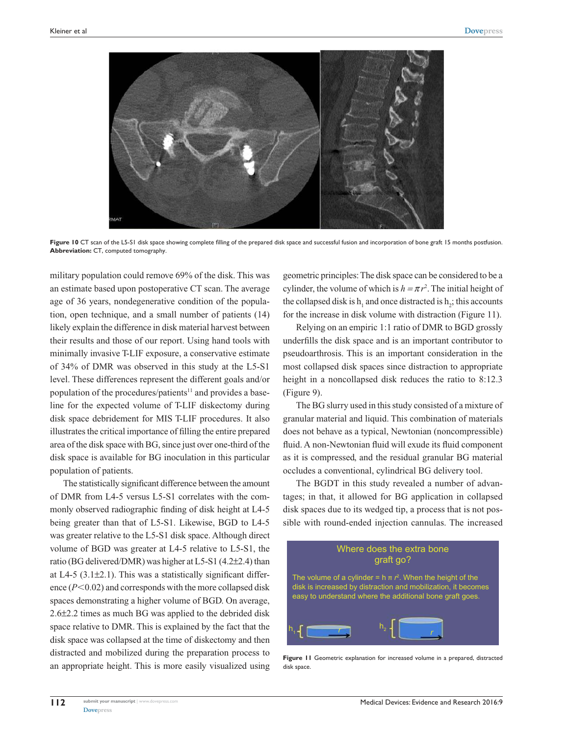

**Figure 10** CT scan of the L5-S1 disk space showing complete filling of the prepared disk space and successful fusion and incorporation of bone graft 15 months postfusion. **Abbreviation:** CT, computed tomography.

military population could remove 69% of the disk. This was an estimate based upon postoperative CT scan. The average age of 36 years, nondegenerative condition of the population, open technique, and a small number of patients (14) likely explain the difference in disk material harvest between their results and those of our report. Using hand tools with minimally invasive T-LIF exposure, a conservative estimate of 34% of DMR was observed in this study at the L5-S1 level. These differences represent the different goals and/or population of the procedures/patients<sup>11</sup> and provides a baseline for the expected volume of T-LIF diskectomy during disk space debridement for MIS T-LIF procedures. It also illustrates the critical importance of filling the entire prepared area of the disk space with BG, since just over one-third of the disk space is available for BG inoculation in this particular population of patients.

The statistically significant difference between the amount of DMR from L4-5 versus L5-S1 correlates with the commonly observed radiographic finding of disk height at L4-5 being greater than that of L5-S1. Likewise, BGD to L4-5 was greater relative to the L5-S1 disk space. Although direct volume of BGD was greater at L4-5 relative to L5-S1, the ratio (BG delivered/DMR) was higher at L5-S1 (4.2±2.4) than at L4-5  $(3.1\pm2.1)$ . This was a statistically significant difference  $(P<0.02)$  and corresponds with the more collapsed disk spaces demonstrating a higher volume of BGD. On average, 2.6±2.2 times as much BG was applied to the debrided disk space relative to DMR. This is explained by the fact that the disk space was collapsed at the time of diskectomy and then distracted and mobilized during the preparation process to an appropriate height. This is more easily visualized using geometric principles: The disk space can be considered to be a cylinder, the volume of which is  $h = \pi r^2$ . The initial height of the collapsed disk is  $h_1$  and once distracted is  $h_2$ ; this accounts for the increase in disk volume with distraction (Figure 11).

Relying on an empiric 1:1 ratio of DMR to BGD grossly underfills the disk space and is an important contributor to pseudoarthrosis. This is an important consideration in the most collapsed disk spaces since distraction to appropriate height in a noncollapsed disk reduces the ratio to 8:12.3 (Figure 9).

The BG slurry used in this study consisted of a mixture of granular material and liquid. This combination of materials does not behave as a typical, Newtonian (noncompressible) fluid. A non-Newtonian fluid will exude its fluid component as it is compressed, and the residual granular BG material occludes a conventional, cylindrical BG delivery tool.

The BGDT in this study revealed a number of advantages; in that, it allowed for BG application in collapsed disk spaces due to its wedged tip, a process that is not possible with round-ended injection cannulas. The increased



**Figure 11** Geometric explanation for increased volume in a prepared, distracted disk space.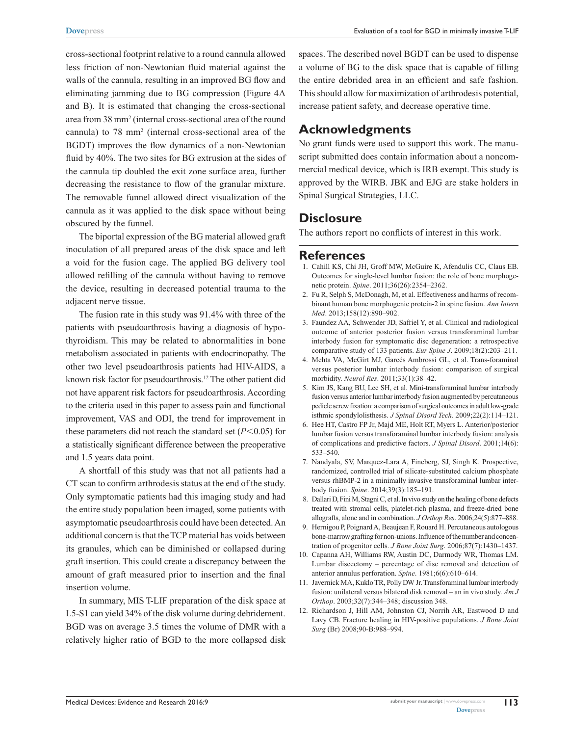cross-sectional footprint relative to a round cannula allowed less friction of non-Newtonian fluid material against the walls of the cannula, resulting in an improved BG flow and eliminating jamming due to BG compression (Figure 4A and B). It is estimated that changing the cross-sectional area from 38 mm<sup>2</sup> (internal cross-sectional area of the round cannula) to 78 mm<sup>2</sup> (internal cross-sectional area of the BGDT) improves the flow dynamics of a non-Newtonian fluid by 40%. The two sites for BG extrusion at the sides of the cannula tip doubled the exit zone surface area, further decreasing the resistance to flow of the granular mixture. The removable funnel allowed direct visualization of the cannula as it was applied to the disk space without being obscured by the funnel.

The biportal expression of the BG material allowed graft inoculation of all prepared areas of the disk space and left a void for the fusion cage. The applied BG delivery tool allowed refilling of the cannula without having to remove the device, resulting in decreased potential trauma to the adjacent nerve tissue.

The fusion rate in this study was 91.4% with three of the patients with pseudoarthrosis having a diagnosis of hypothyroidism. This may be related to abnormalities in bone metabolism associated in patients with endocrinopathy. The other two level pseudoarthrosis patients had HIV-AIDS, a known risk factor for pseudoarthrosis.<sup>12</sup> The other patient did not have apparent risk factors for pseudoarthrosis. According to the criteria used in this paper to assess pain and functional improvement, VAS and ODI, the trend for improvement in these parameters did not reach the standard set  $(P<0.05)$  for a statistically significant difference between the preoperative and 1.5 years data point.

A shortfall of this study was that not all patients had a CT scan to confirm arthrodesis status at the end of the study. Only symptomatic patients had this imaging study and had the entire study population been imaged, some patients with asymptomatic pseudoarthrosis could have been detected. An additional concern is that the TCP material has voids between its granules, which can be diminished or collapsed during graft insertion. This could create a discrepancy between the amount of graft measured prior to insertion and the final insertion volume.

In summary, MIS T-LIF preparation of the disk space at L5-S1 can yield 34% of the disk volume during debridement. BGD was on average 3.5 times the volume of DMR with a relatively higher ratio of BGD to the more collapsed disk

spaces. The described novel BGDT can be used to dispense a volume of BG to the disk space that is capable of filling the entire debrided area in an efficient and safe fashion. This should allow for maximization of arthrodesis potential, increase patient safety, and decrease operative time.

## **Acknowledgments**

No grant funds were used to support this work. The manuscript submitted does contain information about a noncommercial medical device, which is IRB exempt. This study is approved by the WIRB. JBK and EJG are stake holders in Spinal Surgical Strategies, LLC.

## **Disclosure**

The authors report no conflicts of interest in this work.

#### **References**

- 1. Cahill KS, Chi JH, Groff MW, McGuire K, Afendulis CC, Claus EB. Outcomes for single-level lumbar fusion: the role of bone morphogenetic protein. *Spine*. 2011;36(26):2354–2362.
- 2. Fu R, Selph S, McDonagh, M, et al. Effectiveness and harms of recombinant human bone morphogenic protein-2 in spine fusion. *Ann Intern Med*. 2013;158(12):890–902.
- 3. Faundez AA, Schwender JD, Safriel Y, et al. Clinical and radiological outcome of anterior posterior fusion versus transforaminal lumbar interbody fusion for symptomatic disc degeneration: a retrospective comparative study of 133 patients. *Eur Spine J*. 2009;18(2):203–211.
- 4. Mehta VA, McGirt MJ, Garcés Ambrossi GL, et al. Trans-foraminal versus posterior lumbar interbody fusion: comparison of surgical morbidity. *Neurol Res*. 2011;33(1):38–42.
- 5. Kim JS, Kang BU, Lee SH, et al. Mini-transforaminal lumbar interbody fusion versus anterior lumbar interbody fusion augmented by percutaneous pedicle screw fixation: a comparison of surgical outcomes in adult low-grade isthmic spondylolisthesis. *J Spinal Disord Tech*. 2009;22(2):114–121.
- 6. Hee HT, Castro FP Jr, Majd ME, Holt RT, Myers L. Anterior/posterior lumbar fusion versus transforaminal lumbar interbody fusion: analysis of complications and predictive factors. *J Spinal Disord*. 2001;14(6): 533–540.
- 7. Nandyala, SV, Marquez-Lara A, Fineberg, SJ, Singh K. Prospective, randomized, controlled trial of silicate-substituted calcium phosphate versus rhBMP-2 in a minimally invasive transforaminal lumbar interbody fusion. *Spine*. 2014;39(3):185–191.
- 8. Dallari D, Fini M, Stagni C, et al. In vivo study on the healing of bone defects treated with stromal cells, platelet-rich plasma, and freeze-dried bone allografts, alone and in combination. *J Orthop Res*. 2006;24(5):877–888.
- 9. Hernigou P, Poignard A, Beaujean F, Rouard H. Percutaneous autologous bone-marrow grafting for non-unions. Influence of the number and concentration of progenitor cells. *J Bone Joint Surg*. 2006;87(7):1430–1437.
- 10. Capanna AH, Williams RW, Austin DC, Darmody WR, Thomas LM. Lumbar discectomy – percentage of disc removal and detection of anterior annulus perforation. *Spine*. 1981;6(6):610–614.
- 11. Javernick MA, Kuklo TR, Polly DW Jr. Transforaminal lumbar interbody fusion: unilateral versus bilateral disk removal – an in vivo study. *Am J Orthop*. 2003;32(7):344–348; discussion 348.
- 12. Richardson J, Hill AM, Johnston CJ, Norrih AR, Eastwood D and Lavy CB. Fracture healing in HIV-positive populations. *J Bone Joint Surg* (Br) 2008;90-B:988–994.